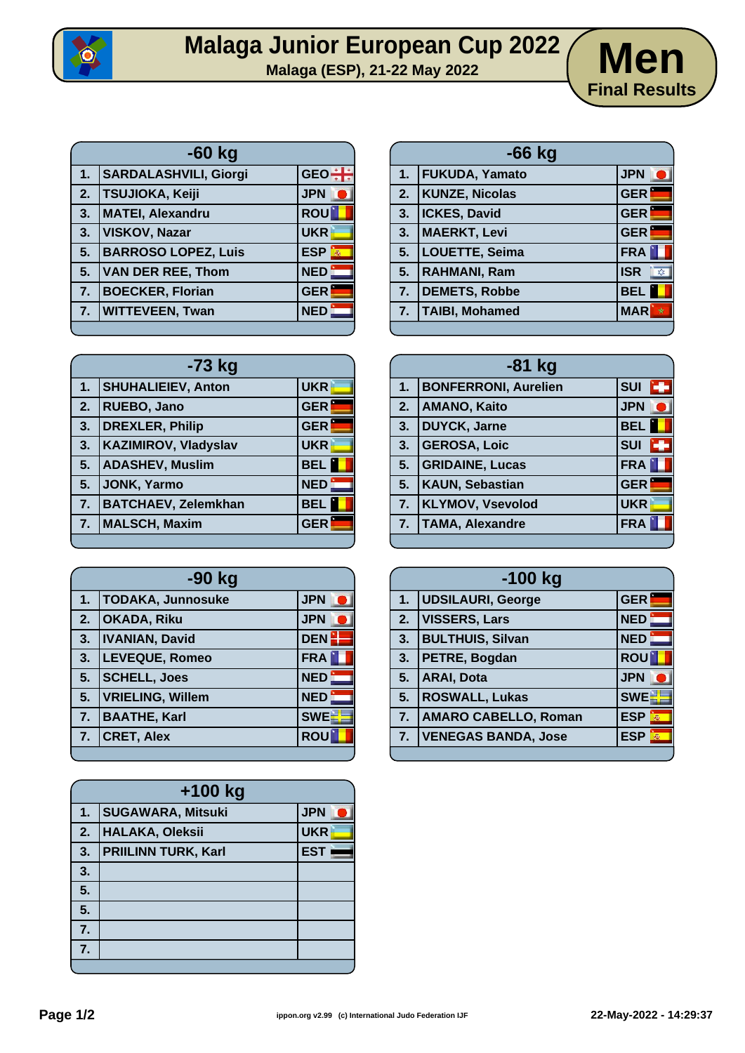

## **Malaga Junior European Cup 2022 Men**

**Final Results**

| $-60$ kg |                              |                           |
|----------|------------------------------|---------------------------|
| 1.       | <b>SARDALASHVILI, Giorgi</b> | $GEO \div$                |
| 2.       | TSUJIOKA, Keiji              | <b>JPN</b>                |
| 3.       | <b>MATEI, Alexandru</b>      | <b>ROU</b>                |
| 3.       | <b>VISKOV, Nazar</b>         | <b>UKR</b>                |
| 5.       | <b>BARROSO LOPEZ, Luis</b>   | <b>ESP</b><br>$\vec{m}_0$ |
| 5.       | <b>VAN DER REE, Thom</b>     | <b>NED</b>                |
| 7.       | <b>BOECKER, Florian</b>      | <b>GER</b>                |
| 7.       | <b>WITTEVEEN, Twan</b>       | <b>NED</b>                |
|          |                              |                           |

| -73 kg |                             |            |
|--------|-----------------------------|------------|
| 1.     | <b>SHUHALIEIEV, Anton</b>   | <b>UKR</b> |
| 2.     | RUEBO, Jano                 | <b>GER</b> |
| 3.     | <b>DREXLER, Philip</b>      | <b>GER</b> |
| 3.     | <b>KAZIMIROV, Vladyslav</b> | <b>UKR</b> |
| 5.     | <b>ADASHEV, Muslim</b>      | <b>BEL</b> |
| 5.     | <b>JONK, Yarmo</b>          | <b>NED</b> |
| 7.     | <b>BATCHAEV, Zelemkhan</b>  | <b>BEL</b> |
| 7.     | <b>MALSCH, Maxim</b>        | <b>GER</b> |
|        |                             |            |

| -90 kg |                          |            |
|--------|--------------------------|------------|
| 1.     | <b>TODAKA, Junnosuke</b> | <b>JPN</b> |
| 2.     | OKADA, Riku              | <b>JPN</b> |
| 3.     | <b>IVANIAN, David</b>    | <b>DEN</b> |
| 3.     | LEVEQUE, Romeo           | <b>FRA</b> |
| 5.     | <b>SCHELL, Joes</b>      | <b>NED</b> |
| 5.     | <b>VRIELING, Willem</b>  | <b>NED</b> |
| 7.     | <b>BAATHE, Karl</b>      | <b>SWE</b> |
| 7.     | <b>CRET, Alex</b>        | <b>ROU</b> |
|        |                          |            |

| $+100$ kg |                            |            |
|-----------|----------------------------|------------|
| 1.        | <b>SUGAWARA, Mitsuki</b>   | <b>JPN</b> |
| 2.        | <b>HALAKA, Oleksii</b>     | <b>UKR</b> |
| 3.        | <b>PRIILINN TURK, Karl</b> | <b>EST</b> |
| 3.        |                            |            |
| 5.        |                            |            |
| 5.        |                            |            |
| 7.        |                            |            |
| 7.        |                            |            |
|           |                            |            |

| $-66$ kg       |                       |                  |
|----------------|-----------------------|------------------|
| 1 <sub>1</sub> | <b>FUKUDA, Yamato</b> | <b>JPN</b>       |
| 2.             | <b>KUNZE, Nicolas</b> | <b>GER</b>       |
| 3.             | <b>ICKES, David</b>   | <b>GER</b>       |
| 3.             | <b>MAERKT, Levi</b>   | <b>GER</b>       |
| 5.             | LOUETTE, Seima        | <b>FRA</b>       |
| 5.             | <b>RAHMANI, Ram</b>   | <b>ISR</b><br>欢. |
| 7.             | <b>DEMETS, Robbe</b>  | <b>BEL</b>       |
| 7.             | <b>TAIBI, Mohamed</b> | <b>MAR</b>       |
|                |                       |                  |

| $-81$ kg |                             |                    |
|----------|-----------------------------|--------------------|
| 1.       | <b>BONFERRONI, Aurelien</b> | <b>SUI</b>         |
| 2.       | <b>AMANO, Kaito</b>         | <b>JPN</b>         |
| 3.       | <b>DUYCK, Jarne</b>         | <b>BEL</b>         |
| 3.       | <b>GEROSA, Loic</b>         | <b>SUI</b><br>nija |
| 5.       | <b>GRIDAINE, Lucas</b>      | <b>FRA</b>         |
| 5.       | <b>KAUN, Sebastian</b>      | <b>GER</b>         |
| 7.       | <b>KLYMOV, Vsevolod</b>     | <b>UKR</b>         |
| 7.       | <b>TAMA, Alexandre</b>      | <b>FRA</b>         |
|          |                             |                    |

| $-100$ kg |                             |            |
|-----------|-----------------------------|------------|
| 1.        | <b>UDSILAURI, George</b>    | <b>GER</b> |
| 2.        | <b>VISSERS, Lars</b>        | <b>NED</b> |
| 3.        | <b>BULTHUIS, Silvan</b>     | <b>NED</b> |
| 3.        | PETRE, Bogdan               | <b>ROU</b> |
| 5.        | <b>ARAI, Dota</b>           | <b>JPN</b> |
| 5.        | <b>ROSWALL, Lukas</b>       | <b>SWE</b> |
| 7.        | <b>AMARO CABELLO, Roman</b> | <b>ESP</b> |
| 7.        | <b>VENEGAS BANDA, Jose</b>  | <b>ESP</b> |
|           |                             |            |